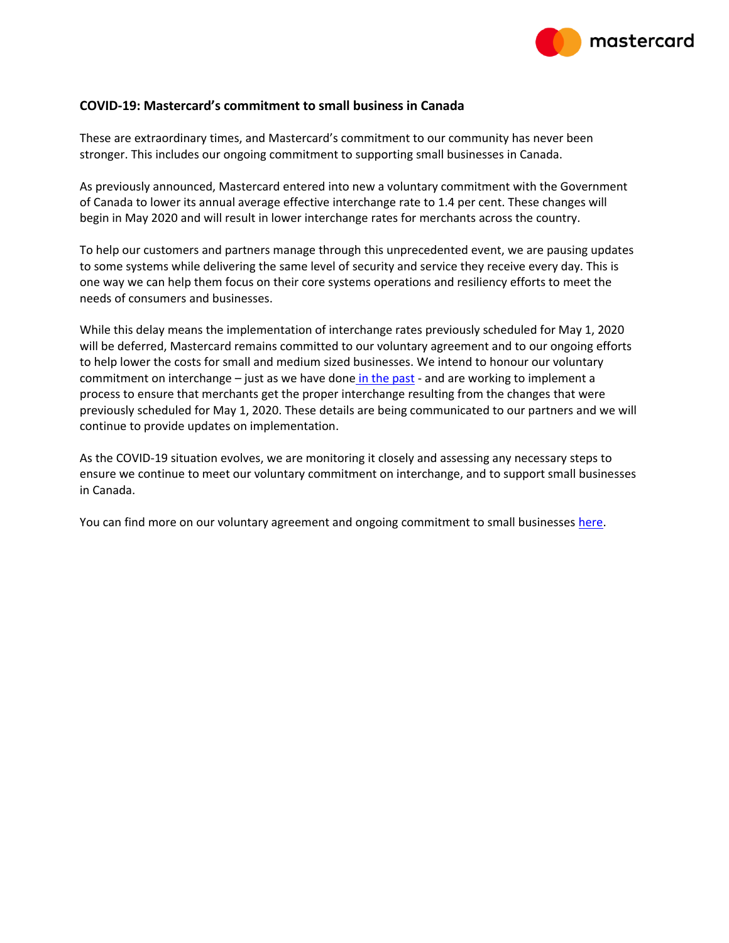

#### **COVID-19: Mastercard's commitment to small business in Canada**

These are extraordinary times, and Mastercard's commitment to our community has never been stronger. This includes our ongoing commitment to supporting small businesses in Canada.

As previously announced, Mastercard entered into new a voluntary commitment with the Government of Canada to lower its annual average effective interchange rate to 1.4 per cent. These changes will begin in May 2020 and will result in lower interchange rates for merchants across the country.

To help our customers and partners manage through this unprecedented event, we are pausing updates to some systems while delivering the same level of security and service they receive every day. This is one way we can help them focus on their core systems operations and resiliency efforts to meet the needs of consumers and businesses.

While this delay means the implementation of interchange rates previously scheduled for May 1, 2020 will be deferred, Mastercard remains committed to our voluntary agreement and to our ongoing efforts to help lower the costs for small and medium sized businesses. We intend to honour our voluntary commitment on interchange – just as we have done [in the past](https://newsroom.mastercard.com/news-briefs/mastercard-continues-commitment-to-small-businesses-in-canada-with-new-agreement/) - and are working to implement a process to ensure that merchants get the proper interchange resulting from the changes that were previously scheduled for May 1, 2020. These details are being communicated to our partners and we will continue to provide updates on implementation.

As the COVID-19 situation evolves, we are monitoring it closely and assessing any necessary steps to ensure we continue to meet our voluntary commitment on interchange, and to support small businesses in Canada.

You can find more on our voluntary agreement and ongoing commitment to small businesses [here.](https://newsroom.mastercard.com/news-briefs/mastercard-continues-commitment-to-small-businesses-in-canada-with-new-agreement/)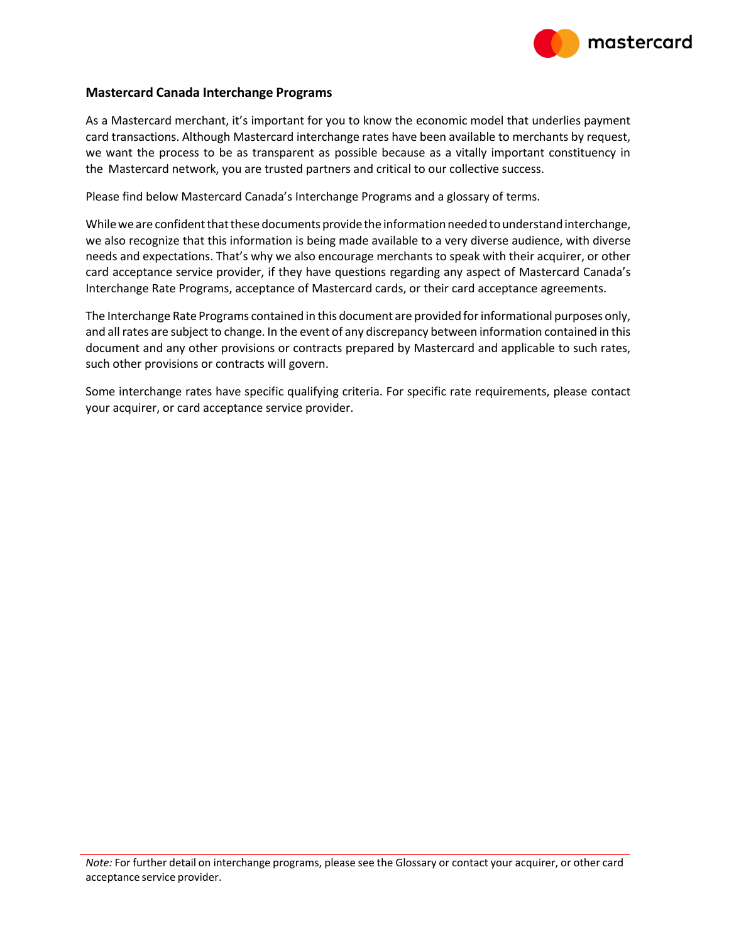

#### **Mastercard Canada Interchange Programs**

As a Mastercard merchant, it's important for you to know the economic model that underlies payment card transactions. Although Mastercard interchange rates have been available to merchants by request, we want the process to be as transparent as possible because as a vitally important constituency in the Mastercard network, you are trusted partners and critical to our collective success.

Please find below Mastercard Canada's Interchange Programs and a glossary of terms.

While we are confident that these documents provide the information needed to understand interchange, we also recognize that this information is being made available to a very diverse audience, with diverse needs and expectations. That's why we also encourage merchants to speak with their acquirer, or other card acceptance service provider, if they have questions regarding any aspect of Mastercard Canada's Interchange Rate Programs, acceptance of Mastercard cards, or their card acceptance agreements.

The Interchange Rate Programs contained in this document are provided forinformational purposes only, and allrates are subject to change. In the event of any discrepancy between information contained in this document and any other provisions or contracts prepared by Mastercard and applicable to such rates, such other provisions or contracts will govern.

Some interchange rates have specific qualifying criteria. For specific rate requirements, please contact your acquirer, or card acceptance service provider.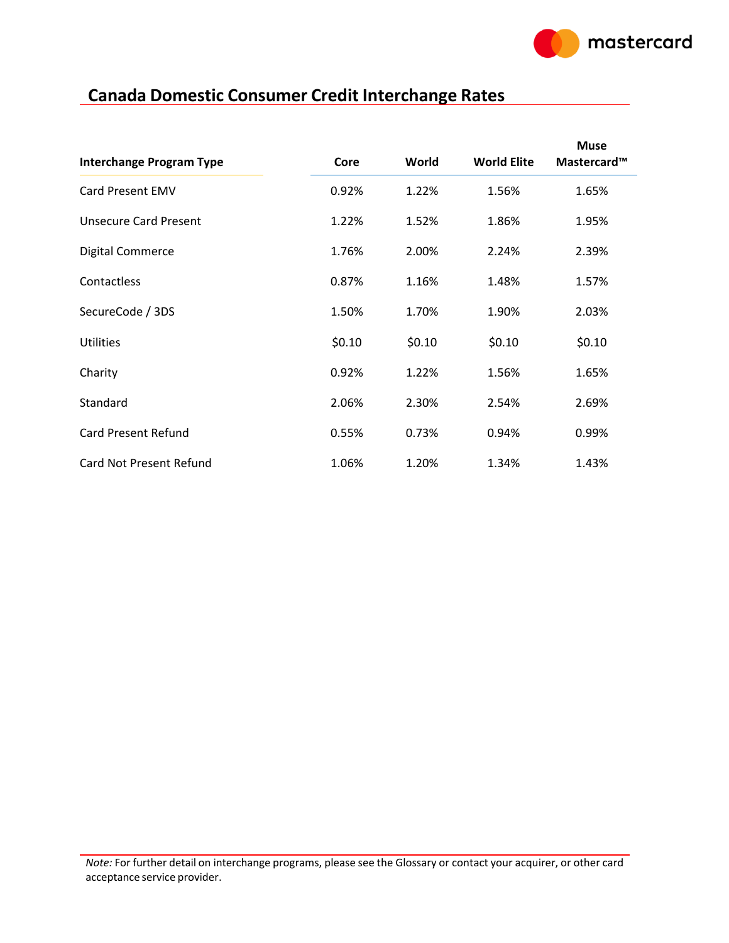

## **Canada Domestic Consumer Credit Interchange Rates**

| <b>Interchange Program Type</b> | Core   | World  | <b>World Elite</b> | <b>Muse</b><br>Mastercard™ |
|---------------------------------|--------|--------|--------------------|----------------------------|
| <b>Card Present EMV</b>         | 0.92%  | 1.22%  | 1.56%              | 1.65%                      |
| <b>Unsecure Card Present</b>    | 1.22%  | 1.52%  | 1.86%              | 1.95%                      |
| <b>Digital Commerce</b>         | 1.76%  | 2.00%  | 2.24%              | 2.39%                      |
| Contactless                     | 0.87%  | 1.16%  | 1.48%              | 1.57%                      |
| SecureCode / 3DS                | 1.50%  | 1.70%  | 1.90%              | 2.03%                      |
| <b>Utilities</b>                | \$0.10 | \$0.10 | \$0.10             | \$0.10                     |
| Charity                         | 0.92%  | 1.22%  | 1.56%              | 1.65%                      |
| Standard                        | 2.06%  | 2.30%  | 2.54%              | 2.69%                      |
| <b>Card Present Refund</b>      | 0.55%  | 0.73%  | 0.94%              | 0.99%                      |
| Card Not Present Refund         | 1.06%  | 1.20%  | 1.34%              | 1.43%                      |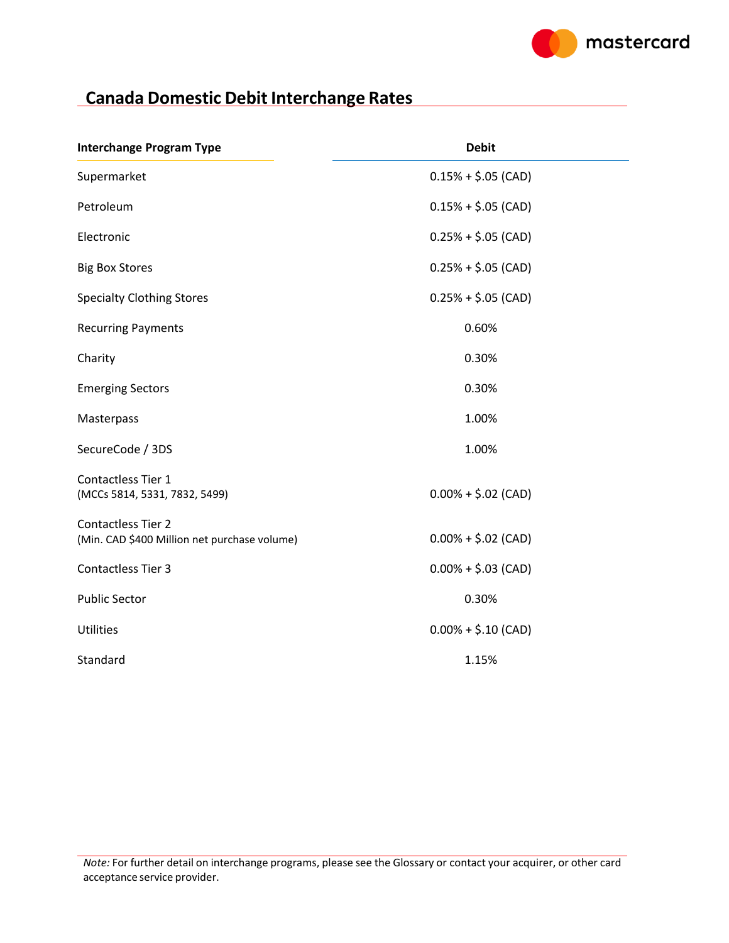

# **Canada Domestic Debit Interchange Rates**

| <b>Interchange Program Type</b>                                           | <b>Debit</b>          |
|---------------------------------------------------------------------------|-----------------------|
| Supermarket                                                               | $0.15% + $.05$ (CAD)  |
| Petroleum                                                                 | $0.15% + $.05$ (CAD)  |
| Electronic                                                                | $0.25% + $.05$ (CAD)  |
| <b>Big Box Stores</b>                                                     | $0.25% + $.05$ (CAD)  |
| <b>Specialty Clothing Stores</b>                                          | $0.25% + $.05$ (CAD)  |
| <b>Recurring Payments</b>                                                 | 0.60%                 |
| Charity                                                                   | 0.30%                 |
| <b>Emerging Sectors</b>                                                   | 0.30%                 |
| Masterpass                                                                | 1.00%                 |
| SecureCode / 3DS                                                          | 1.00%                 |
| Contactless Tier 1<br>(MCCs 5814, 5331, 7832, 5499)                       | $0.00\% + $.02$ (CAD) |
| <b>Contactless Tier 2</b><br>(Min. CAD \$400 Million net purchase volume) | $0.00\% + $.02$ (CAD) |
| <b>Contactless Tier 3</b>                                                 | $0.00\% + $.03$ (CAD) |
| <b>Public Sector</b>                                                      | 0.30%                 |
| <b>Utilities</b>                                                          | $0.00\% + $.10$ (CAD) |
| Standard                                                                  | 1.15%                 |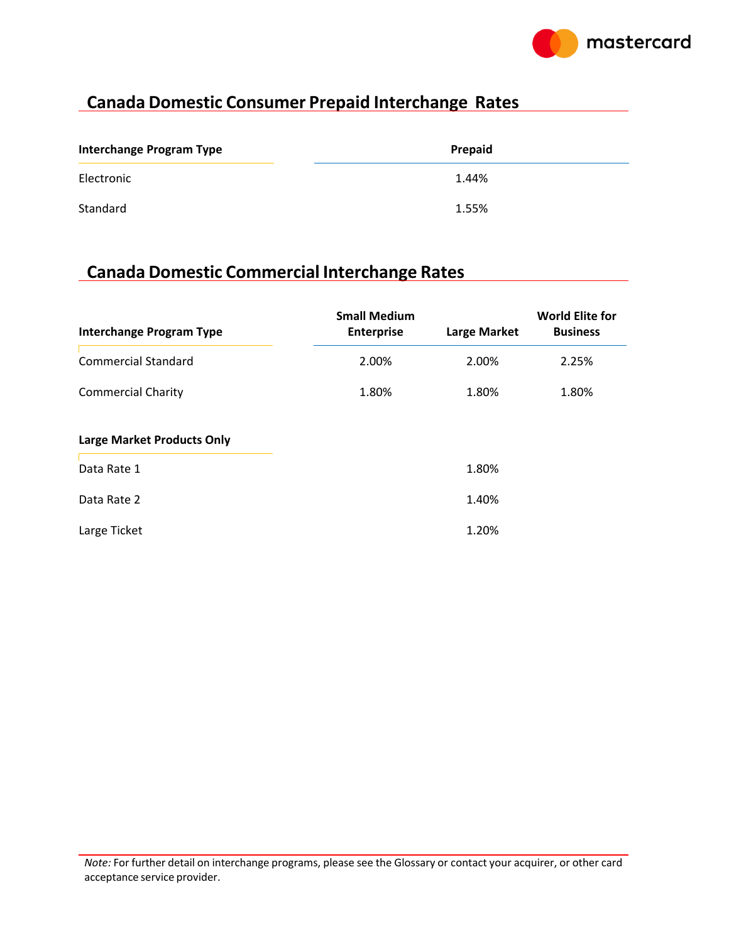

### **Canada Domestic Consumer Prepaid Interchange Rates**

| <b>Interchange Program Type</b> | Prepaid |
|---------------------------------|---------|
| Electronic                      | 1.44%   |
| Standard                        | 1.55%   |

### **Canada Domestic Commercial Interchange Rates**

| <b>Interchange Program Type</b>   | <b>Small Medium</b><br><b>Enterprise</b> | <b>Large Market</b> | <b>World Elite for</b><br><b>Business</b> |
|-----------------------------------|------------------------------------------|---------------------|-------------------------------------------|
| <b>Commercial Standard</b>        | 2.00%                                    | 2.00%               | 2.25%                                     |
| <b>Commercial Charity</b>         | 1.80%                                    | 1.80%               | 1.80%                                     |
| <b>Large Market Products Only</b> |                                          |                     |                                           |
| Data Rate 1                       |                                          | 1.80%               |                                           |
| Data Rate 2                       |                                          | 1.40%               |                                           |
| Large Ticket                      |                                          | 1.20%               |                                           |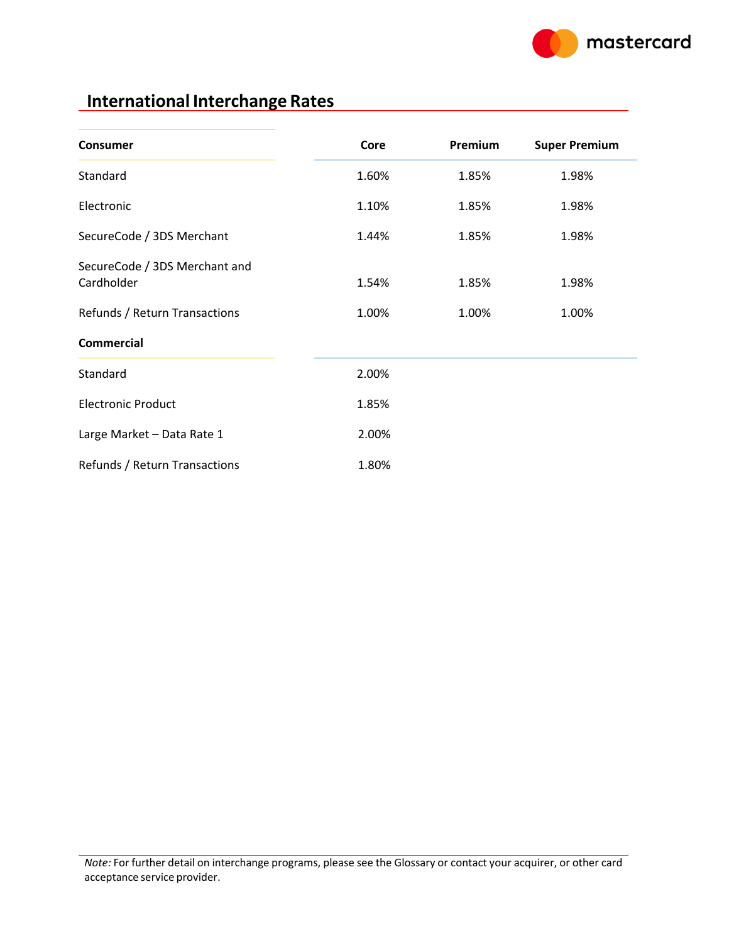

### **International Interchange Rates**

| Consumer                                    | Core  | Premium | <b>Super Premium</b> |
|---------------------------------------------|-------|---------|----------------------|
| Standard                                    | 1.60% | 1.85%   | 1.98%                |
| Electronic                                  | 1.10% | 1.85%   | 1.98%                |
| SecureCode / 3DS Merchant                   | 1.44% | 1.85%   | 1.98%                |
| SecureCode / 3DS Merchant and<br>Cardholder | 1.54% | 1.85%   | 1.98%                |
| Refunds / Return Transactions               | 1.00% | 1.00%   | 1.00%                |
| <b>Commercial</b>                           |       |         |                      |
| Standard                                    | 2.00% |         |                      |
| <b>Electronic Product</b>                   | 1.85% |         |                      |
| Large Market - Data Rate 1                  | 2.00% |         |                      |
| Refunds / Return Transactions               | 1.80% |         |                      |

*Note:* For further detail on interchange programs, please see the Glossary or contact your acquirer, or other card acceptance service provider.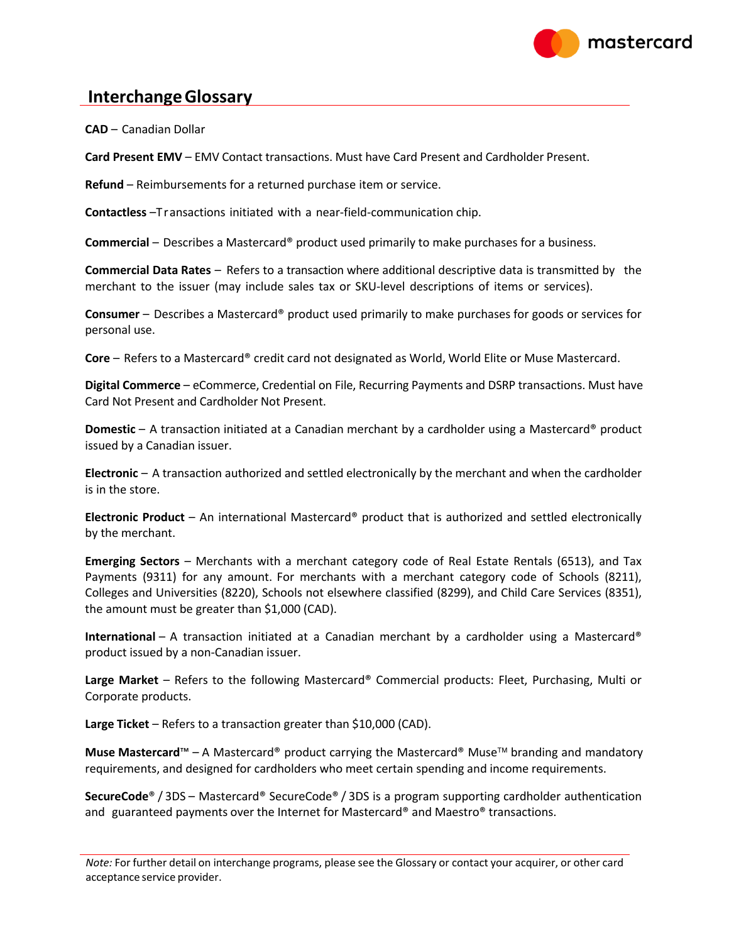

#### **InterchangeGlossary**

**CAD** – Canadian Dollar

**Card Present EMV** – EMV Contact transactions. Must have Card Present and Cardholder Present.

**Refund** – Reimbursements for a returned purchase item or service.

**Contactless** –Transactions initiated with a near-field-communication chip.

**Commercial** – Describes a Mastercard® product used primarily to make purchases for a business.

**Commercial Data Rates** – Refers to a transaction where additional descriptive data is transmitted by the merchant to the issuer (may include sales tax or SKU-level descriptions of items or services).

**Consumer** – Describes a Mastercard® product used primarily to make purchases for goods or services for personal use.

**Core** – Refers to a Mastercard® credit card not designated as World, World Elite or Muse Mastercard.

**Digital Commerce** – eCommerce, Credential on File, Recurring Payments and DSRP transactions. Must have Card Not Present and Cardholder Not Present.

**Domestic** – A transaction initiated at a Canadian merchant by a cardholder using a Mastercard® product issued by a Canadian issuer.

**Electronic** – A transaction authorized and settled electronically by the merchant and when the cardholder is in the store.

**Electronic Product** – An international Mastercard® product that is authorized and settled electronically by the merchant.

**Emerging Sectors** – Merchants with a merchant category code of Real Estate Rentals (6513), and Tax Payments (9311) for any amount. For merchants with a merchant category code of Schools (8211), Colleges and Universities (8220), Schools not elsewhere classified (8299), and Child Care Services (8351), the amount must be greater than \$1,000 (CAD).

**International** – A transaction initiated at a Canadian merchant by a cardholder using a Mastercard® product issued by a non-Canadian issuer.

**Large Market** – Refers to the following Mastercard® Commercial products: Fleet, Purchasing, Multi or Corporate products.

**Large Ticket** – Refers to a transaction greater than \$10,000 (CAD).

**Muse Mastercard™** – A Mastercard® product carrying the Mastercard® Muse<sup>™</sup> branding and mandatory requirements, and designed for cardholders who meet certain spending and income requirements.

**SecureCode**® / 3DS – Mastercard® SecureCode® / 3DS is a program supporting cardholder authentication and guaranteed payments over the Internet for Mastercard® and Maestro® transactions.

*Note:* For further detail on interchange programs, please see the Glossary or contact your acquirer, or other card acceptance service provider.